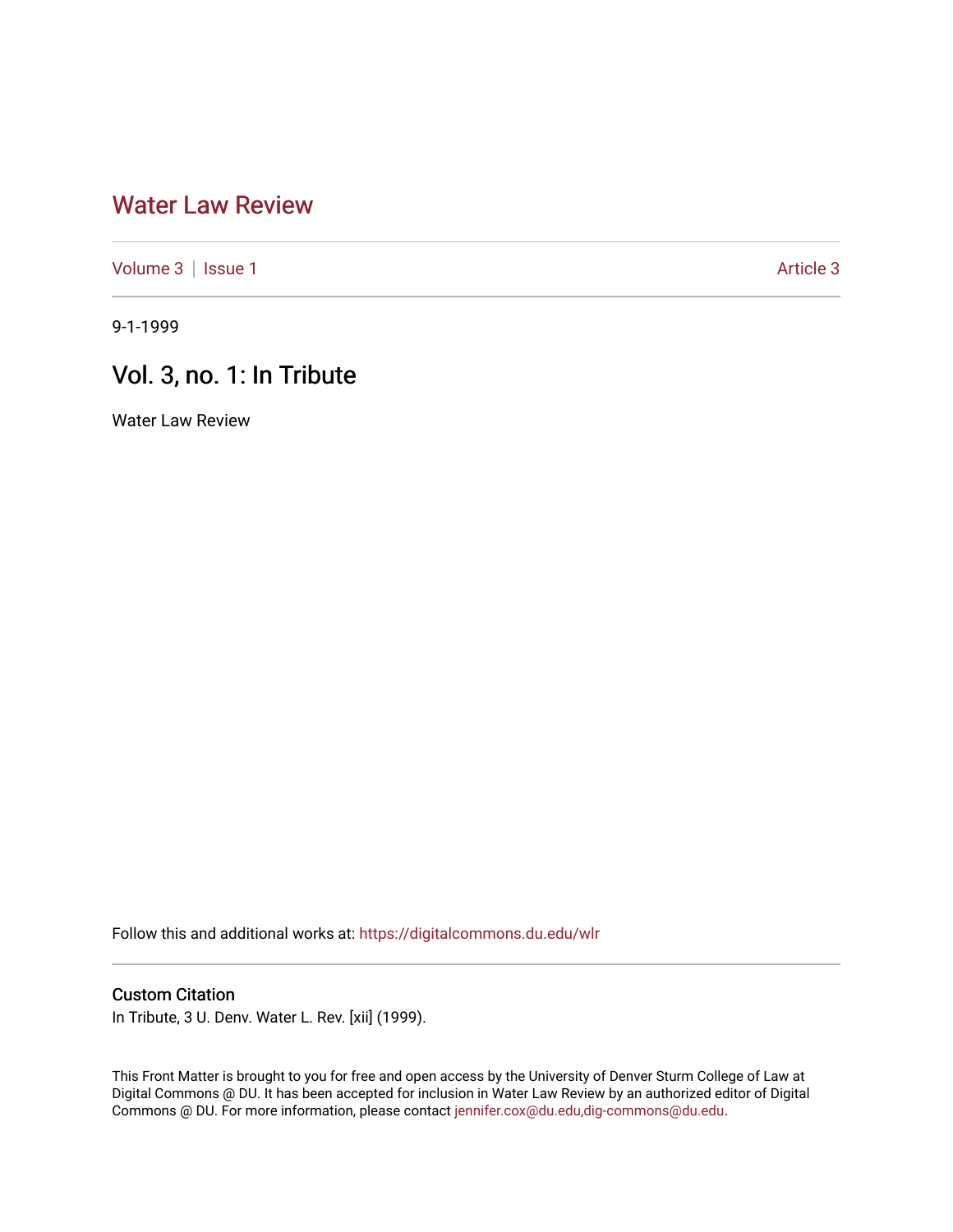# [Water Law Review](https://digitalcommons.du.edu/wlr)

[Volume 3](https://digitalcommons.du.edu/wlr/vol3) | [Issue 1](https://digitalcommons.du.edu/wlr/vol3/iss1) [Article 3](https://digitalcommons.du.edu/wlr/vol3/iss1/3) Article 3

9-1-1999

# Vol. 3, no. 1: In Tribute

Water Law Review

Follow this and additional works at: [https://digitalcommons.du.edu/wlr](https://digitalcommons.du.edu/wlr?utm_source=digitalcommons.du.edu%2Fwlr%2Fvol3%2Fiss1%2F3&utm_medium=PDF&utm_campaign=PDFCoverPages) 

#### Custom Citation

In Tribute, 3 U. Denv. Water L. Rev. [xii] (1999).

This Front Matter is brought to you for free and open access by the University of Denver Sturm College of Law at Digital Commons @ DU. It has been accepted for inclusion in Water Law Review by an authorized editor of Digital Commons @ DU. For more information, please contact [jennifer.cox@du.edu,dig-commons@du.edu.](mailto:jennifer.cox@du.edu,dig-commons@du.edu)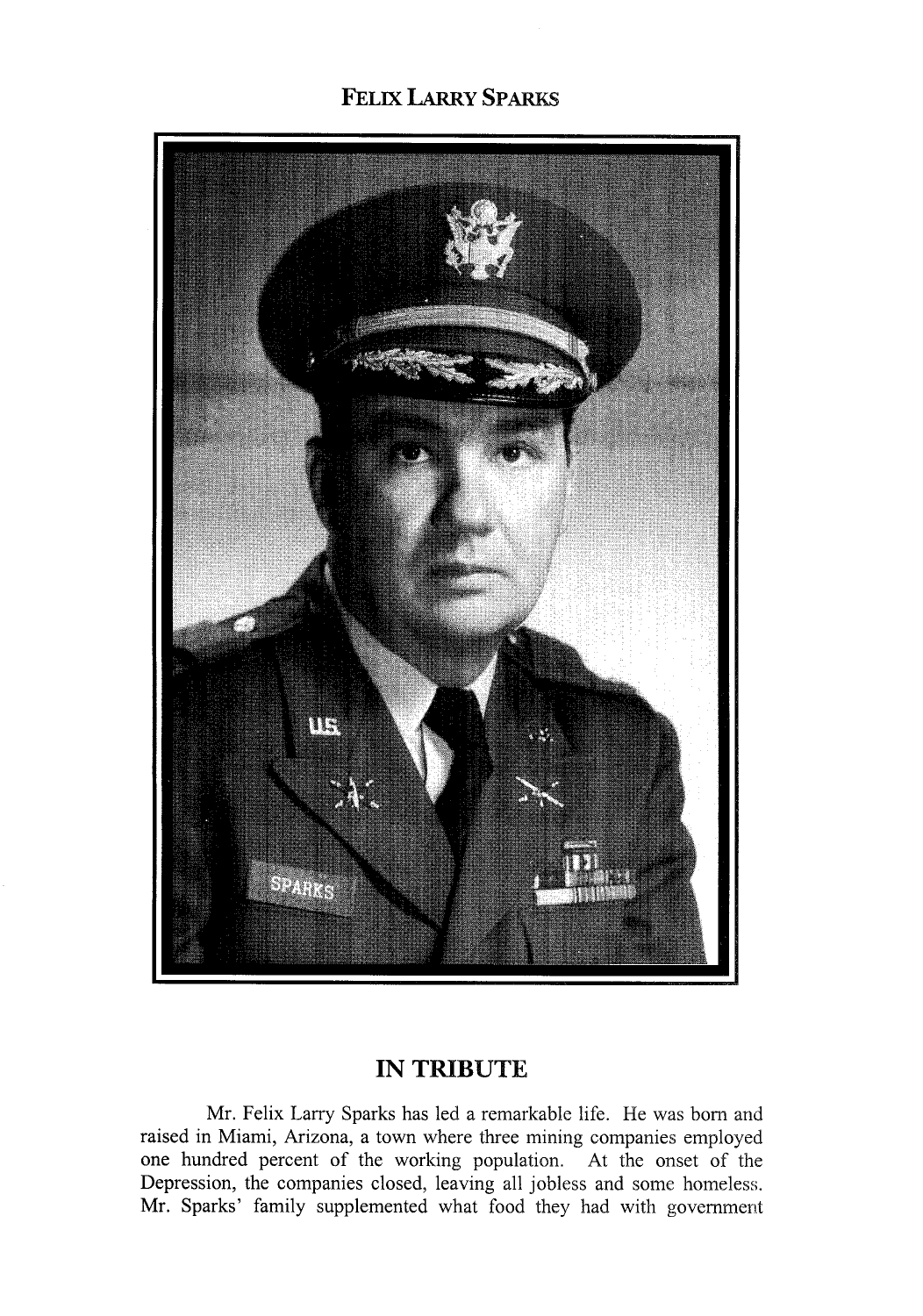### **FELIX LARRY SPARKS**



### **IN TRIBUTE**

Mr. Felix Larry Sparks has led a remarkable life. He was born and raised in Miami, Arizona, a town where three mining companies employed one hundred percent of the working population. At the onset of the Depression, the companies closed, leaving all jobless and some homeless. Mr. Sparks' family supplemented what food they had with government